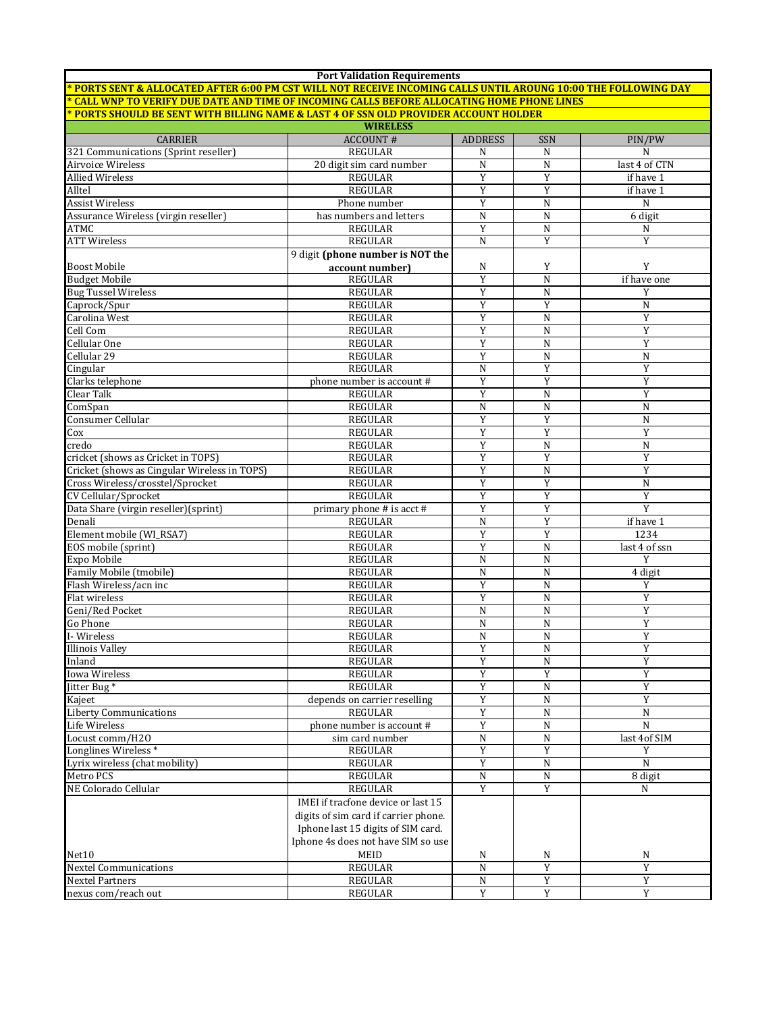| <b>Port Validation Requirements</b><br><u>* PORTS SENT &amp; ALLOCATED AFTER 6:00 PM CST WILL NOT RECEIVE INCOMING CALLS UNTIL AROUNG 10:00 THE FOLLOWING DAY</u> |                                      |                         |                          |                  |  |  |  |
|-------------------------------------------------------------------------------------------------------------------------------------------------------------------|--------------------------------------|-------------------------|--------------------------|------------------|--|--|--|
| <u>* CALL WNP TO VERIFY DUE DATE AND TIME OF INCOMING CALLS BEFORE ALLOCATING HOME PHONE LINES</u>                                                                |                                      |                         |                          |                  |  |  |  |
| <u>* PORTS SHOULD BE SENT WITH BILLING NAME &amp; LAST 4 OF SSN OLD PROVIDER ACCOUNT HOLDER</u>                                                                   |                                      |                         |                          |                  |  |  |  |
|                                                                                                                                                                   | <b>WIRELESS</b>                      |                         |                          |                  |  |  |  |
| <b>CARRIER</b>                                                                                                                                                    | <b>ACCOUNT#</b>                      | <b>ADDRESS</b>          | SSN                      | PIN/PW           |  |  |  |
| 321 Communications (Sprint reseller)                                                                                                                              | <b>REGULAR</b>                       | N                       | N                        | N                |  |  |  |
| Airvoice Wireless                                                                                                                                                 | 20 digit sim card number             | $\mathbf N$             | N                        | last 4 of CTN    |  |  |  |
| <b>Allied Wireless</b>                                                                                                                                            | <b>REGULAR</b>                       | Y                       | Y                        | if have 1        |  |  |  |
| Alltel                                                                                                                                                            | <b>REGULAR</b>                       | Y                       | Y                        | if have 1        |  |  |  |
| Assist Wireless                                                                                                                                                   | Phone number                         | Y                       | N                        | ${\bf N}$        |  |  |  |
| Assurance Wireless (virgin reseller)                                                                                                                              | has numbers and letters              | N                       | N                        | 6 digit          |  |  |  |
| ATMC                                                                                                                                                              | <b>REGULAR</b>                       | Y                       | N<br>Y                   | N<br>Y           |  |  |  |
| <b>ATT Wireless</b>                                                                                                                                               | <b>REGULAR</b>                       | N                       |                          |                  |  |  |  |
|                                                                                                                                                                   | 9 digit (phone number is NOT the     |                         |                          |                  |  |  |  |
| <b>Boost Mobile</b><br><b>Budget Mobile</b>                                                                                                                       | account number)<br><b>REGULAR</b>    | N<br>Y                  | Y<br>N                   | Y<br>if have one |  |  |  |
| <b>Bug Tussel Wireless</b>                                                                                                                                        | <b>REGULAR</b>                       | Y                       | N                        | Y                |  |  |  |
| Caprock/Spur                                                                                                                                                      | <b>REGULAR</b>                       | Y                       | Y                        | N                |  |  |  |
| Carolina West                                                                                                                                                     | <b>REGULAR</b>                       | $\mathbf Y$             | N                        | Y                |  |  |  |
| Cell Com                                                                                                                                                          | <b>REGULAR</b>                       | Y                       | N                        | Y                |  |  |  |
| Cellular One                                                                                                                                                      | <b>REGULAR</b>                       | Y                       | N                        | Y                |  |  |  |
| Cellular 29                                                                                                                                                       | <b>REGULAR</b>                       | $\mathbf Y$             | $\mathbf N$              | ${\bf N}$        |  |  |  |
| Cingular                                                                                                                                                          | <b>REGULAR</b>                       | N                       | Y                        | Y                |  |  |  |
| Clarks telephone                                                                                                                                                  | phone number is account #            | Y                       | Y                        | Y                |  |  |  |
| Clear Talk                                                                                                                                                        | <b>REGULAR</b>                       | Y                       | $\overline{N}$           | Y                |  |  |  |
| ComSpan                                                                                                                                                           | <b>REGULAR</b>                       | $\mathbf N$             | N                        | $\mathbf N$      |  |  |  |
| Consumer Cellular                                                                                                                                                 | <b>REGULAR</b>                       | Y                       | Y                        | N                |  |  |  |
| Cox                                                                                                                                                               | <b>REGULAR</b>                       | Y                       | Y                        | Y                |  |  |  |
| credo                                                                                                                                                             | <b>REGULAR</b>                       | Y                       | N                        | N                |  |  |  |
| cricket (shows as Cricket in TOPS)                                                                                                                                | <b>REGULAR</b>                       | Y                       | Y                        | Y                |  |  |  |
| Cricket (shows as Cingular Wireless in TOPS)                                                                                                                      | <b>REGULAR</b>                       | Y                       | N                        | Y                |  |  |  |
| Cross Wireless/crosstel/Sprocket                                                                                                                                  | <b>REGULAR</b>                       | Y                       | Y                        | ${\bf N}$        |  |  |  |
| CV Cellular/Sprocket                                                                                                                                              | <b>REGULAR</b>                       | Y                       | $\mathbf Y$              | Y                |  |  |  |
| Data Share (virgin reseller)(sprint)                                                                                                                              | primary phone # is acct #            | Y                       | Y                        | $\overline{Y}$   |  |  |  |
| Denali                                                                                                                                                            | <b>REGULAR</b>                       | N                       | Y                        | if have 1        |  |  |  |
| Element mobile (WI_RSA7)                                                                                                                                          | <b>REGULAR</b>                       | Y                       | Y                        | 1234             |  |  |  |
| EOS mobile (sprint)                                                                                                                                               | <b>REGULAR</b>                       | Y                       | N                        | last 4 of ssn    |  |  |  |
| Expo Mobile                                                                                                                                                       | <b>REGULAR</b>                       | N                       | N                        | Y                |  |  |  |
| Family Mobile (tmobile)                                                                                                                                           | <b>REGULAR</b>                       | N                       | N                        | 4 digit          |  |  |  |
| Flash Wireless/acn inc                                                                                                                                            | <b>REGULAR</b>                       | Y                       | N                        | Y                |  |  |  |
| Flat wireless                                                                                                                                                     | <b>REGULAR</b>                       | Y                       | N                        | Y                |  |  |  |
| Geni/Red Pocket                                                                                                                                                   | <b>REGULAR</b>                       | N                       | N                        | Y                |  |  |  |
| Go Phone                                                                                                                                                          | <b>REGULAR</b>                       | N                       | N                        | Y                |  |  |  |
| I-Wireless                                                                                                                                                        | <b>REGULAR</b>                       | $\mathbf N$             | ${\bf N}$                | Y                |  |  |  |
| <b>Illinois Valley</b><br>Inland                                                                                                                                  | REGULAR                              | Y<br>Y                  | ${\bf N}$<br>$\mathbf N$ | Y<br>Y           |  |  |  |
| Iowa Wireless                                                                                                                                                     | REGULAR<br>REGULAR                   | $\overline{\mathbf{Y}}$ | Y                        | Y                |  |  |  |
| Jitter Bug <sup>*</sup>                                                                                                                                           | <b>REGULAR</b>                       | Y                       | ${\bf N}$                | Y                |  |  |  |
| Kajeet                                                                                                                                                            | depends on carrier reselling         | $\mathbf Y$             | ${\bf N}$                | Y                |  |  |  |
| <b>Liberty Communications</b>                                                                                                                                     | <b>REGULAR</b>                       | $\overline{Y}$          | N                        | $\mathbf N$      |  |  |  |
| Life Wireless                                                                                                                                                     | phone number is account #            | $\overline{\mathbf{Y}}$ | ${\bf N}$                | N                |  |  |  |
| Locust comm/H2O                                                                                                                                                   | sim card number                      | ${\bf N}$               | ${\bf N}$                | last 4of SIM     |  |  |  |
| Longlines Wireless*                                                                                                                                               | <b>REGULAR</b>                       | $\overline{Y}$          | $\overline{Y}$           | Y                |  |  |  |
| Lyrix wireless (chat mobility)                                                                                                                                    | REGULAR                              | $\mathbf Y$             | ${\bf N}$                | $\mathbf N$      |  |  |  |
| Metro PCS                                                                                                                                                         | <b>REGULAR</b>                       | ${\bf N}$               | ${\bf N}$                | 8 digit          |  |  |  |
| NE Colorado Cellular                                                                                                                                              | REGULAR                              | Y                       | Y                        | N                |  |  |  |
|                                                                                                                                                                   | IMEI if tracfone device or last 15   |                         |                          |                  |  |  |  |
|                                                                                                                                                                   | digits of sim card if carrier phone. |                         |                          |                  |  |  |  |
|                                                                                                                                                                   | Iphone last 15 digits of SIM card.   |                         |                          |                  |  |  |  |
|                                                                                                                                                                   | Iphone 4s does not have SIM so use   |                         |                          |                  |  |  |  |
| Net10                                                                                                                                                             | MEID                                 | N                       | N                        | N                |  |  |  |
| <b>Nextel Communications</b>                                                                                                                                      | <b>REGULAR</b>                       | ${\bf N}$               | Y                        | Y                |  |  |  |
| <b>Nextel Partners</b>                                                                                                                                            | REGULAR                              | ${\bf N}$               | Y                        | Y                |  |  |  |
| nexus com/reach out                                                                                                                                               | REGULAR                              | Y                       | Y                        | Y                |  |  |  |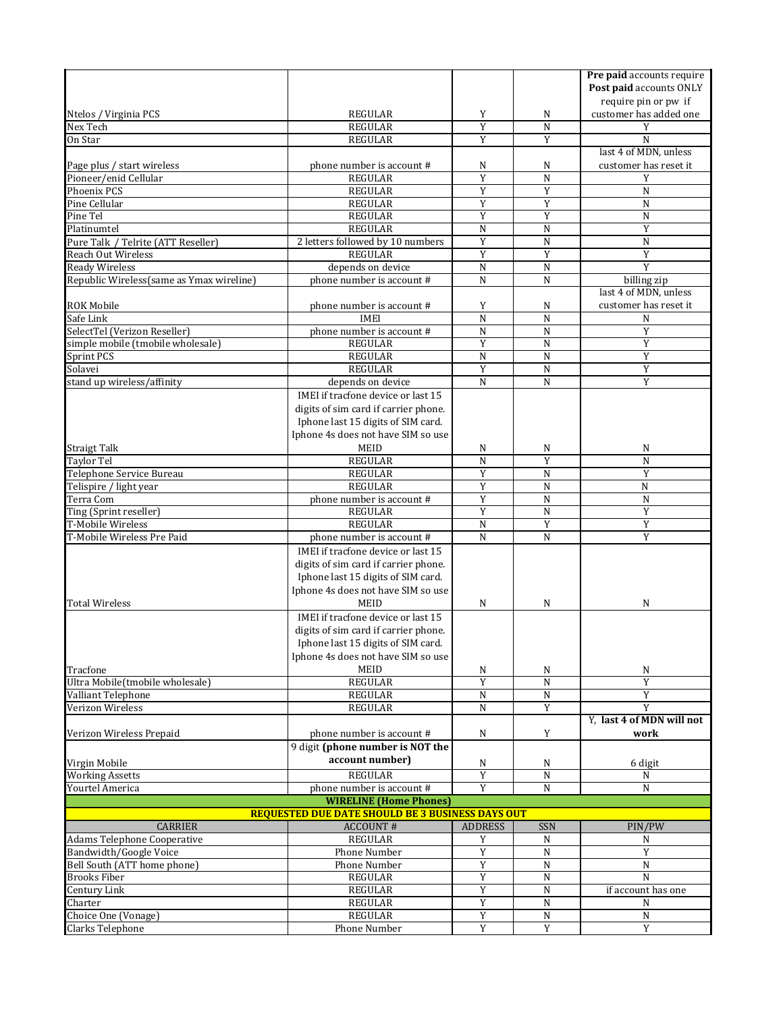|                                                         |                                                               |                     |                            | Pre paid accounts require      |  |  |  |
|---------------------------------------------------------|---------------------------------------------------------------|---------------------|----------------------------|--------------------------------|--|--|--|
|                                                         |                                                               |                     |                            | Post paid accounts ONLY        |  |  |  |
|                                                         |                                                               |                     |                            | require pin or pw if           |  |  |  |
| Ntelos / Virginia PCS                                   | REGULAR                                                       | Y                   | N                          | customer has added one         |  |  |  |
| Nex Tech                                                | <b>REGULAR</b>                                                | Y                   | $\mathbf N$                | Y                              |  |  |  |
| On Star                                                 | <b>REGULAR</b>                                                | Y                   | Y                          | N                              |  |  |  |
|                                                         |                                                               |                     |                            | last 4 of MDN, unless          |  |  |  |
| Page plus / start wireless<br>Pioneer/enid Cellular     | phone number is account #<br><b>REGULAR</b>                   | N<br>Y              | N<br>N                     | customer has reset it<br>Y     |  |  |  |
| Phoenix PCS                                             | <b>REGULAR</b>                                                | Y                   | Y                          | N                              |  |  |  |
| Pine Cellular                                           | <b>REGULAR</b>                                                | Y                   | Y                          | N                              |  |  |  |
| Pine Tel                                                | <b>REGULAR</b>                                                | Y                   | Y                          | N                              |  |  |  |
| Platinumtel                                             | <b>REGULAR</b>                                                | N                   | N                          | Y                              |  |  |  |
| Pure Talk / Telrite (ATT Reseller)                      | 2 letters followed by 10 numbers                              | Y                   | N                          | N                              |  |  |  |
| <b>Reach Out Wireless</b>                               | <b>REGULAR</b>                                                | Y                   | Y                          | Y                              |  |  |  |
| <b>Ready Wireless</b>                                   | depends on device                                             | N                   | N                          | Y                              |  |  |  |
| Republic Wireless(same as Ymax wireline)                | phone number is account #                                     | N                   | N                          | billing zip                    |  |  |  |
|                                                         |                                                               |                     |                            | last 4 of MDN, unless          |  |  |  |
| <b>ROK Mobile</b>                                       | phone number is account #                                     | Y                   | N                          | customer has reset it          |  |  |  |
| Safe Link                                               | <b>IMEI</b>                                                   | N                   | N                          | N                              |  |  |  |
| SelectTel (Verizon Reseller)                            | phone number is account #                                     | N                   | N                          | Y                              |  |  |  |
| simple mobile (tmobile wholesale)                       | <b>REGULAR</b>                                                | Y                   | N                          | Y                              |  |  |  |
| Sprint PCS                                              | <b>REGULAR</b>                                                | N                   | N                          | Y                              |  |  |  |
| Solavei                                                 | <b>REGULAR</b>                                                | Y                   | $\mathbf N$                | Y                              |  |  |  |
| stand up wireless/affinity                              | depends on device                                             | N                   | $\mathbf N$                | $\overline{Y}$                 |  |  |  |
|                                                         | IMEI if tracfone device or last 15                            |                     |                            |                                |  |  |  |
|                                                         | digits of sim card if carrier phone.                          |                     |                            |                                |  |  |  |
|                                                         | Iphone last 15 digits of SIM card.                            |                     |                            |                                |  |  |  |
|                                                         | Iphone 4s does not have SIM so use                            |                     |                            |                                |  |  |  |
| Straigt Talk                                            | MEID                                                          | N                   | N                          | N                              |  |  |  |
| Taylor Tel                                              | <b>REGULAR</b>                                                | N                   | Y                          | N                              |  |  |  |
| Telephone Service Bureau                                | <b>REGULAR</b>                                                | Y                   | N                          | Y                              |  |  |  |
| Telispire / light year                                  | <b>REGULAR</b>                                                | Y                   | N                          | N                              |  |  |  |
| Terra Com                                               | phone number is account #                                     | Y                   | N                          | N                              |  |  |  |
| Ting (Sprint reseller)                                  | <b>REGULAR</b>                                                | Y                   | N                          | Y                              |  |  |  |
| T-Mobile Wireless                                       | <b>REGULAR</b>                                                | N                   | Y                          | Y                              |  |  |  |
| T-Mobile Wireless Pre Paid                              | phone number is account #                                     | N                   | N                          | Y                              |  |  |  |
|                                                         | IMEI if tracfone device or last 15                            |                     |                            |                                |  |  |  |
|                                                         | digits of sim card if carrier phone.                          |                     |                            |                                |  |  |  |
|                                                         | Iphone last 15 digits of SIM card.                            |                     |                            |                                |  |  |  |
|                                                         | Iphone 4s does not have SIM so use                            |                     |                            |                                |  |  |  |
| <b>Total Wireless</b>                                   | <b>MEID</b>                                                   | N                   | N                          | N                              |  |  |  |
|                                                         | IMEI if tracfone device or last 15                            |                     |                            |                                |  |  |  |
|                                                         | digits of sim card if carrier phone.                          |                     |                            |                                |  |  |  |
|                                                         | Iphone last 15 digits of SIM card.                            |                     |                            |                                |  |  |  |
|                                                         | Iphone 4s does not have SIM so use                            |                     |                            |                                |  |  |  |
| Tracfone                                                | MEID                                                          | N                   | N                          | N                              |  |  |  |
| Ultra Mobile(tmobile wholesale)                         | <b>REGULAR</b>                                                | Y                   | N                          | Y                              |  |  |  |
| Valliant Telephone                                      | REGULAR                                                       | ${\bf N}$           | ${\bf N}$                  | $\overline{Y}$                 |  |  |  |
| Verizon Wireless                                        | <b>REGULAR</b>                                                | N                   | Y                          | Y<br>Y, last 4 of MDN will not |  |  |  |
| Verizon Wireless Prepaid                                |                                                               |                     | Y                          | work                           |  |  |  |
|                                                         | phone number is account #<br>9 digit (phone number is NOT the | N                   |                            |                                |  |  |  |
|                                                         | account number)                                               |                     |                            |                                |  |  |  |
| Virgin Mobile                                           |                                                               | N                   | N                          | 6 digit                        |  |  |  |
| <b>Working Assetts</b>                                  | <b>REGULAR</b><br>phone number is account #                   | $\overline{Y}$<br>Y | $\mathbf N$<br>$\mathbf N$ | N<br>$\mathbf N$               |  |  |  |
| Yourtel America                                         | <b>WIRELINE (Home Phones)</b>                                 |                     |                            |                                |  |  |  |
| <b>REQUESTED DUE DATE SHOULD BE 3 BUSINESS DAYS OUT</b> |                                                               |                     |                            |                                |  |  |  |
| <b>CARRIER</b>                                          | <b>ACCOUNT#</b>                                               | <b>ADDRESS</b>      | <b>SSN</b>                 | PIN/PW                         |  |  |  |
| Adams Telephone Cooperative                             | <b>REGULAR</b>                                                | Y                   | N                          | N                              |  |  |  |
| Bandwidth/Google Voice                                  | Phone Number                                                  | Y                   | $\mathbf N$                | Y                              |  |  |  |
| Bell South (ATT home phone)                             | Phone Number                                                  | $\overline{Y}$      | $\overline{N}$             | $\overline{N}$                 |  |  |  |
| <b>Brooks Fiber</b>                                     | <b>REGULAR</b>                                                | Y                   | N                          | N                              |  |  |  |
| Century Link                                            | <b>REGULAR</b>                                                | Y                   | ${\bf N}$                  | if account has one             |  |  |  |
| Charter                                                 |                                                               |                     |                            |                                |  |  |  |
|                                                         | <b>REGULAR</b>                                                | Y                   | ${\bf N}$                  | N                              |  |  |  |
| Choice One (Vonage)                                     | <b>REGULAR</b>                                                | Y                   | N<br>$\mathbf Y$           | N<br>Y                         |  |  |  |